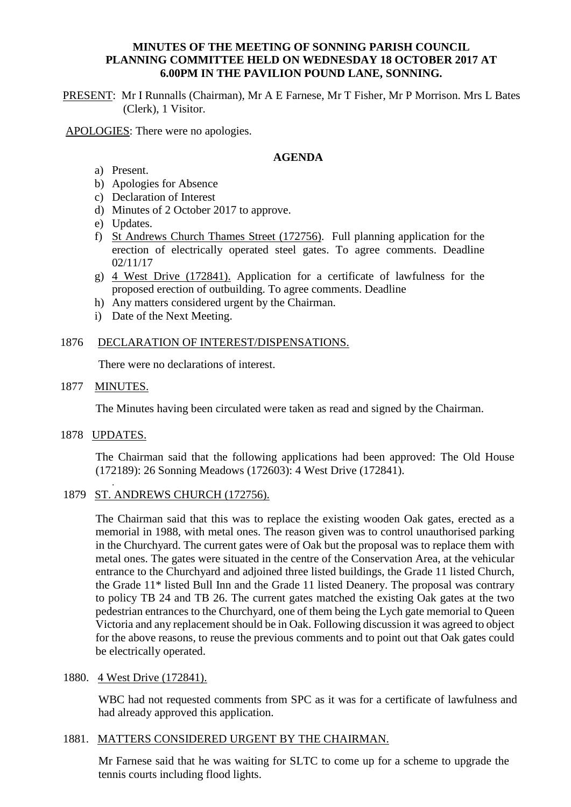### **MINUTES OF THE MEETING OF SONNING PARISH COUNCIL PLANNING COMMITTEE HELD ON WEDNESDAY 18 OCTOBER 2017 AT 6.00PM IN THE PAVILION POUND LANE, SONNING.**

PRESENT: Mr I Runnalls (Chairman), Mr A E Farnese, Mr T Fisher, Mr P Morrison. Mrs L Bates (Clerk), 1 Visitor.

APOLOGIES: There were no apologies.

### **AGENDA**

- a) Present.
- b) Apologies for Absence
- c) Declaration of Interest
- d) Minutes of 2 October 2017 to approve.
- e) Updates.
- f) St Andrews Church Thames Street (172756). Full planning application for the erection of electrically operated steel gates. To agree comments. Deadline 02/11/17
- g) 4 West Drive (172841). Application for a certificate of lawfulness for the proposed erection of outbuilding. To agree comments. Deadline
- h) Any matters considered urgent by the Chairman.
- i) Date of the Next Meeting.

# 1876 DECLARATION OF INTEREST/DISPENSATIONS.

There were no declarations of interest.

1877 MINUTES.

The Minutes having been circulated were taken as read and signed by the Chairman.

1878 UPDATES.

The Chairman said that the following applications had been approved: The Old House (172189): 26 Sonning Meadows (172603): 4 West Drive (172841).

. 1879 ST. ANDREWS CHURCH (172756).

> The Chairman said that this was to replace the existing wooden Oak gates, erected as a memorial in 1988, with metal ones. The reason given was to control unauthorised parking in the Churchyard. The current gates were of Oak but the proposal was to replace them with metal ones. The gates were situated in the centre of the Conservation Area, at the vehicular entrance to the Churchyard and adjoined three listed buildings, the Grade 11 listed Church, the Grade 11\* listed Bull Inn and the Grade 11 listed Deanery. The proposal was contrary to policy TB 24 and TB 26. The current gates matched the existing Oak gates at the two pedestrian entrances to the Churchyard, one of them being the Lych gate memorial to Queen Victoria and any replacement should be in Oak. Following discussion it was agreed to object for the above reasons, to reuse the previous comments and to point out that Oak gates could be electrically operated.

# 1880. 4 West Drive (172841).

WBC had not requested comments from SPC as it was for a certificate of lawfulness and had already approved this application.

# 1881. MATTERS CONSIDERED URGENT BY THE CHAIRMAN.

Mr Farnese said that he was waiting for SLTC to come up for a scheme to upgrade the tennis courts including flood lights.